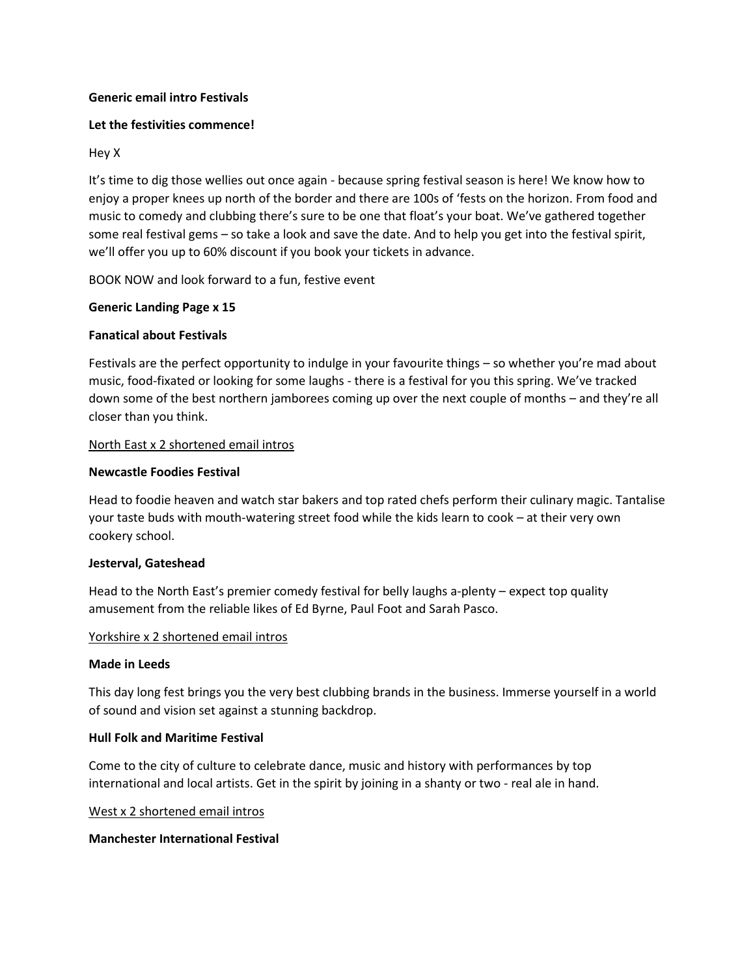## **Generic email intro Festivals**

## **Let the festivities commence!**

## Hey X

It's time to dig those wellies out once again - because spring festival season is here! We know how to enjoy a proper knees up north of the border and there are 100s of 'fests on the horizon. From food and music to comedy and clubbing there's sure to be one that float's your boat. We've gathered together some real festival gems – so take a look and save the date. And to help you get into the festival spirit, we'll offer you up to 60% discount if you book your tickets in advance.

BOOK NOW and look forward to a fun, festive event

## **Generic Landing Page x 15**

## **Fanatical about Festivals**

Festivals are the perfect opportunity to indulge in your favourite things – so whether you're mad about music, food-fixated or looking for some laughs - there is a festival for you this spring. We've tracked down some of the best northern jamborees coming up over the next couple of months – and they're all closer than you think.

## North East x 2 shortened email intros

## **Newcastle Foodies Festival**

Head to foodie heaven and watch star bakers and top rated chefs perform their culinary magic. Tantalise your taste buds with mouth-watering street food while the kids learn to cook – at their very own cookery school.

#### **Jesterval, Gateshead**

Head to the North East's premier comedy festival for belly laughs a-plenty – expect top quality amusement from the reliable likes of Ed Byrne, Paul Foot and Sarah Pasco.

#### Yorkshire x 2 shortened email intros

#### **Made in Leeds**

This day long fest brings you the very best clubbing brands in the business. Immerse yourself in a world of sound and vision set against a stunning backdrop.

#### **Hull Folk and Maritime Festival**

Come to the city of culture to celebrate dance, music and history with performances by top international and local artists. Get in the spirit by joining in a shanty or two - real ale in hand.

#### West x 2 shortened email intros

#### **Manchester International Festival**